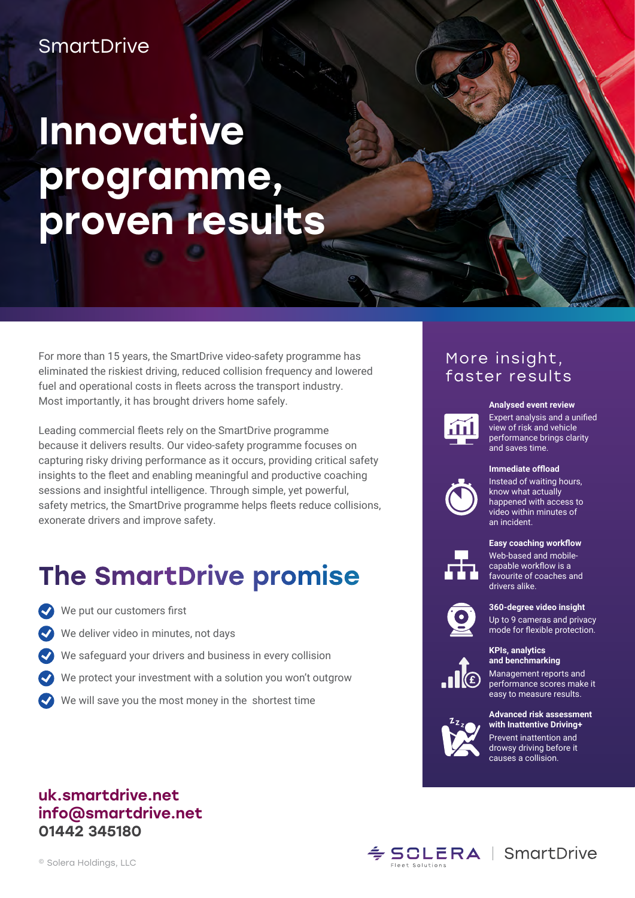## Innovative programme, proven results

For more than 15 years, the SmartDrive video-safety programme has eliminated the riskiest driving, reduced collision frequency and lowered fuel and operational costs in fleets across the transport industry. Most importantly, it has brought drivers home safely.

Leading commercial fleets rely on the SmartDrive programme because it delivers results. Our video-safety programme focuses on capturing risky driving performance as it occurs, providing critical safety insights to the fleet and enabling meaningful and productive coaching sessions and insightful intelligence. Through simple, yet powerful, safety metrics, the SmartDrive programme helps fleets reduce collisions, exonerate drivers and improve safety.

## The SmartDrive promise

- We put our customers first
- We deliver video in minutes, not days
- We safeguard your drivers and business in every collision
- We protect your investment with a solution you won't outgrow
- We will save you the most money in the shortest time

### uk.smartdrive.net info@smartdrive.net 01442 345180

## More insight, faster results

#### **Analysed event review**



l

Expert analysis and a unified view of risk and vehicle performance brings clarity and saves time.

#### **Immediate offload**



Instead of waiting hours, know what actually happened with access to video within minutes of an incident.

#### **Easy coaching workflow**



Web-based and mobilecapable workflow is a favourite of coaches and drivers alike.



#### **360-degree video insight**

**KPIs, analytics** 

Up to 9 cameras and privacy mode for flexible protection.



**and benchmarking** Management reports and performance scores make it easy to measure results.

#### **Advanced risk assessment with Inattentive Driving+**

Prevent inattention and drowsy driving before it causes a collision.





© Solera Holdings, LLC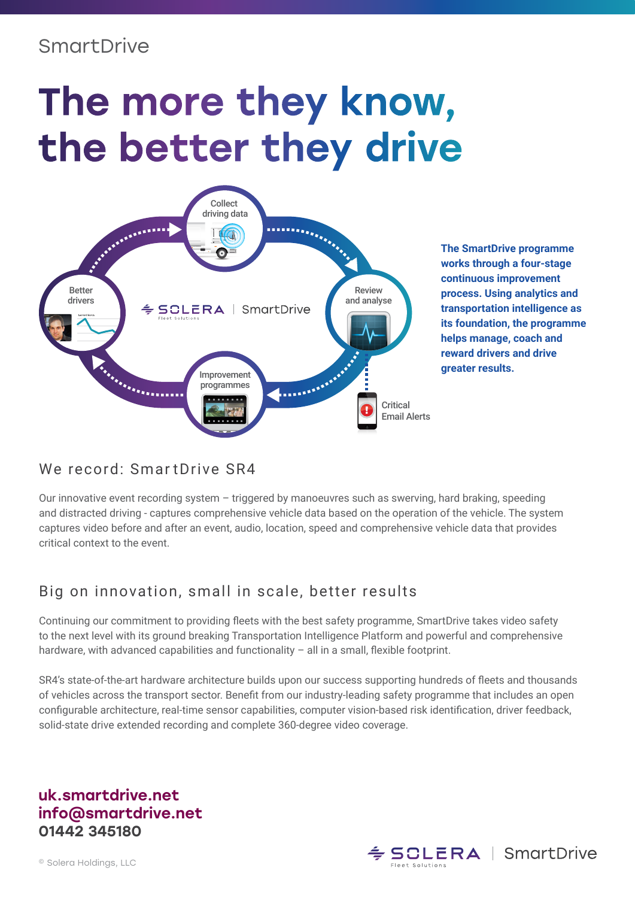# The more they know, the better they drive



**The SmartDrive programme works through a four-stage continuous improvement process. Using analytics and transportation intelligence as its foundation, the programme helps manage, coach and reward drivers and drive greater results.** 

### We record: SmartDrive SR4

Our innovative event recording system – triggered by manoeuvres such as swerving, hard braking, speeding and distracted driving - captures comprehensive vehicle data based on the operation of the vehicle. The system captures video before and after an event, audio, location, speed and comprehensive vehicle data that provides critical context to the event.

#### Big on innovation, small in scale, better results

Continuing our commitment to providing fleets with the best safety programme, SmartDrive takes video safety to the next level with its ground breaking Transportation Intelligence Platform and powerful and comprehensive hardware, with advanced capabilities and functionality – all in a small, flexible footprint.

SR4's state-of-the-art hardware architecture builds upon our success supporting hundreds of fleets and thousands of vehicles across the transport sector. Benefit from our industry-leading safety programme that includes an open configurable architecture, real-time sensor capabilities, computer vision-based risk identification, driver feedback, solid-state drive extended recording and complete 360-degree video coverage.

uk.smartdrive.net info@smartdrive.net 01442 345180

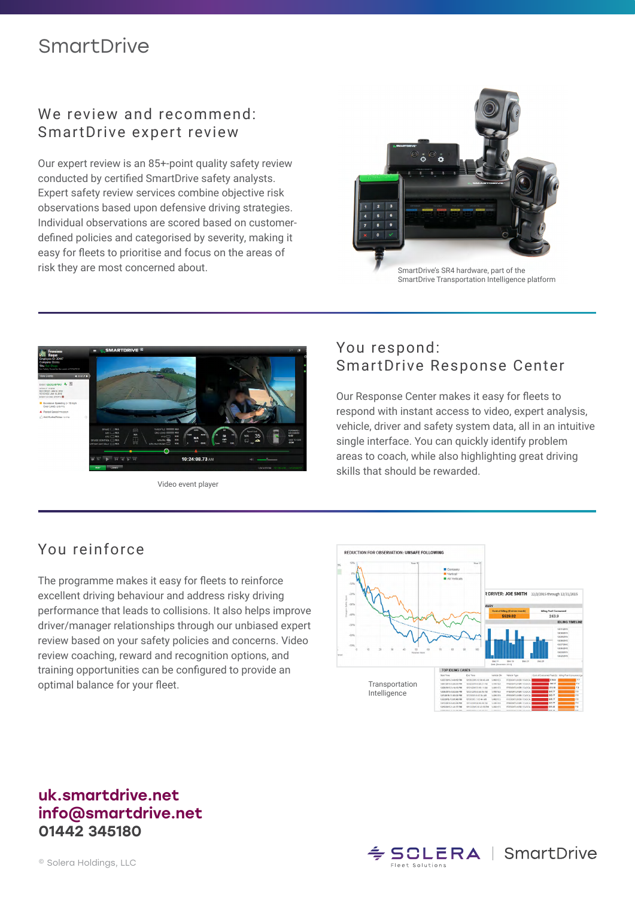## We review and recommend: SmartDrive expert review

Our expert review is an 85+-point quality safety review conducted by certified SmartDrive safety analysts. Expert safety review services combine objective risk observations based upon defensive driving strategies. Individual observations are scored based on customerdefined policies and categorised by severity, making it easy for fleets to prioritise and focus on the areas of risk they are most concerned about.



SmartDrive's SR4 hardware, part of the SmartDrive Transportation Intelligence platform



Video event player

#### You respond: SmartDrive Response Center

Our Response Center makes it easy for fleets to respond with instant access to video, expert analysis, vehicle, driver and safety system data, all in an intuitive single interface. You can quickly identify problem areas to coach, while also highlighting great driving skills that should be rewarded.

## You reinforce

The programme makes it easy for fleets to reinforce excellent driving behaviour and address risky driving performance that leads to collisions. It also helps improve driver/manager relationships through our unbiased expert review based on your safety policies and concerns. Video review coaching, reward and recognition options, and training opportunities can be configured to provide an optimal balance for your fleet.



#### uk.smartdrive.net info@smartdrive.net 01442 345180